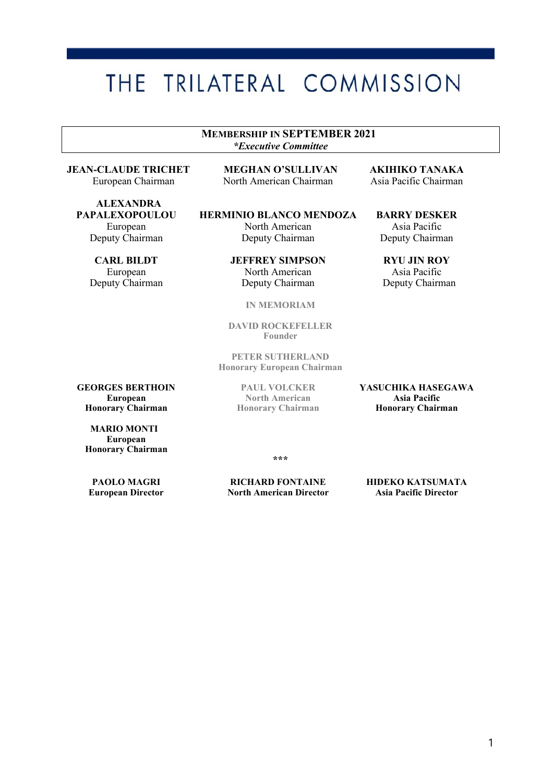# THE TRILATERAL COMMISSION

**MEMBERSHIP IN SEPTEMBER 2021** *\*Executive Committee*

**ALEXANDRA<br>PAPALEXOPOULOU** 

**JEAN-CLAUDE TRICHET MEGHAN O'SULLIVAN AKIHIKO TANAKA** North American Chairman

**HERMINIO BLANCO MENDOZA BARRY DESKER** European North American Asia Pacific Deputy Chairman Deputy Chairman Deputy Chairman

**CARL BILDT JEFFREY SIMPSON RYU JIN ROY**<br> **European** Morth American Asia Pacific European North American Asia Pacific<br>Deputy Chairman Deputy Chairman Deputy Chairman Deputy Chairman

**IN MEMORIAM** 

**DAVID ROCKEFELLER Founder**

**PETER SUTHERLAND Honorary European Chairman**

 **MARIO MONTI European Honorary Chairman**

**Honorary Chairman Honorary Chairman Honorary Chairman**

**GEORGES BERTHOIN**<br> **PAUL VOLCKER**<br> **PAUL VOLCKER**<br> **PAUL VOLCKER**<br> **PAUL VOLCKER**<br> **PAUL VOLCKER**<br> **PASUCHIKA HASEGAWA**<br> **PASUCHIKA HASEGAWA European 1988 Morth American 1989 Morth American** 1989 Morth American 1989 Morth American 1989 Morth 2011 Morth 2012 Morth 2013 Morth 2013 Morth 2013 Morth 2013 Morth 2013 Morth 2013 Morth 2013 Morth 2013 Morth 2013 Morth

**\*\*\***

**PAOLO MAGRI RICHARD FONTAINE HIDEKO KATSUMATA North American Director**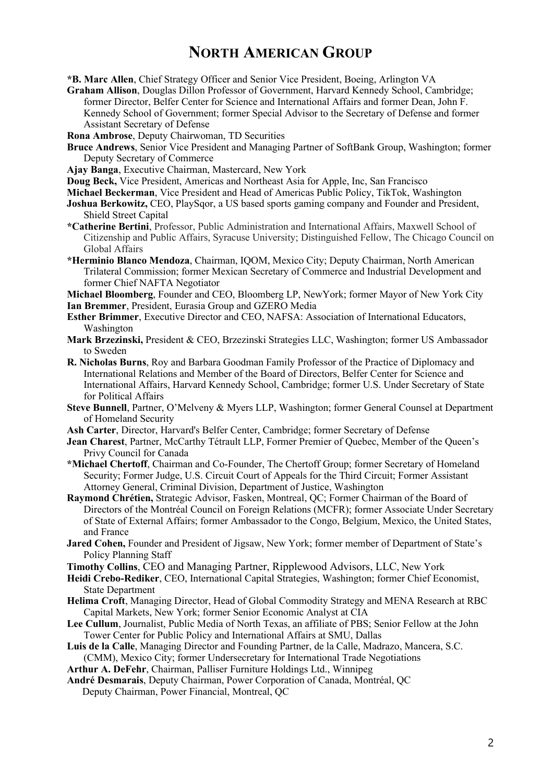## **NORTH AMERICAN GROUP**

**\*B. Marc Allen**, Chief Strategy Officer and Senior Vice President, Boeing, Arlington VA

**Graham Allison**, Douglas Dillon Professor of Government, Harvard Kennedy School, Cambridge; former Director, Belfer Center for Science and International Affairs and former Dean, John F. Kennedy School of Government; former Special Advisor to the Secretary of Defense and former Assistant Secretary of Defense

**Rona Ambrose**, Deputy Chairwoman, TD Securities

- **Bruce Andrews**, Senior Vice President and Managing Partner of SoftBank Group, Washington; former Deputy Secretary of Commerce
- **Ajay Banga**, Executive Chairman, Mastercard, New York
- **Doug Beck,** Vice President, Americas and Northeast Asia for Apple, Inc, San Francisco
- **Michael Beckerman**, Vice President and Head of Americas Public Policy, TikTok, Washington
- **Joshua Berkowitz,** CEO, PlaySqor, a US based sports gaming company and Founder and President, Shield Street Capital
- **\*Catherine Bertini**, Professor, Public Administration and International Affairs, Maxwell School of Citizenship and Public Affairs, Syracuse University; Distinguished Fellow, The Chicago Council on Global Affairs
- **\*Herminio Blanco Mendoza**, Chairman, IQOM, Mexico City; Deputy Chairman, North American Trilateral Commission; former Mexican Secretary of Commerce and Industrial Development and former Chief NAFTA Negotiator

**Michael Bloomberg**, Founder and CEO, Bloomberg LP, NewYork; former Mayor of New York City **Ian Bremmer**, President, Eurasia Group and GZERO Media

- **Esther Brimmer**, Executive Director and CEO, NAFSA: Association of International Educators, Washington
- **Mark Brzezinski,** President & CEO, Brzezinski Strategies LLC, Washington; former US Ambassador to Sweden
- **R. Nicholas Burns**, Roy and Barbara Goodman Family Professor of the Practice of Diplomacy and International Relations and Member of the Board of Directors, Belfer Center for Science and International Affairs, Harvard Kennedy School, Cambridge; former U.S. Under Secretary of State for Political Affairs
- **Steve Bunnell**, Partner, O'Melveny & Myers LLP, Washington; former General Counsel at Department of Homeland Security
- **Ash Carter**, Director, Harvard's Belfer Center, Cambridge; former Secretary of Defense
- **Jean Charest**, Partner, McCarthy Tétrault LLP, Former Premier of Quebec, Member of the Queen's Privy Council for Canada
- **\*Michael Chertoff**, Chairman and Co-Founder, The Chertoff Group; former Secretary of Homeland Security; Former Judge, U.S. Circuit Court of Appeals for the Third Circuit; Former Assistant Attorney General, Criminal Division, Department of Justice, Washington
- **Raymond Chrétien,** Strategic Advisor, Fasken, Montreal, QC; Former Chairman of the Board of Directors of the Montréal Council on Foreign Relations (MCFR); former Associate Under Secretary of State of External Affairs; former Ambassador to the Congo, Belgium, Mexico, the United States, and France
- **Jared Cohen,** Founder and President of Jigsaw, New York; former member of Department of State's Policy Planning Staff
- **Timothy Collins**, CEO and Managing Partner, Ripplewood Advisors, LLC, New York
- **Heidi Crebo-Rediker**, CEO, International Capital Strategies, Washington; former Chief Economist, State Department
- **Helima Croft**, Managing Director, Head of Global Commodity Strategy and MENA Research at RBC Capital Markets, New York; former Senior Economic Analyst at CIA
- **Lee Cullum**, Journalist, Public Media of North Texas, an affiliate of PBS; Senior Fellow at the John Tower Center for Public Policy and International Affairs at SMU, Dallas
- **Luis de la Calle**, Managing Director and Founding Partner, de la Calle, Madrazo, Mancera, S.C. (CMM), Mexico City; former Undersecretary for International Trade Negotiations
- **Arthur A. DeFehr**, Chairman, Palliser Furniture Holdings Ltd., Winnipeg

**André Desmarais**, Deputy Chairman, Power Corporation of Canada, Montréal, QC

Deputy Chairman, Power Financial, Montreal, QC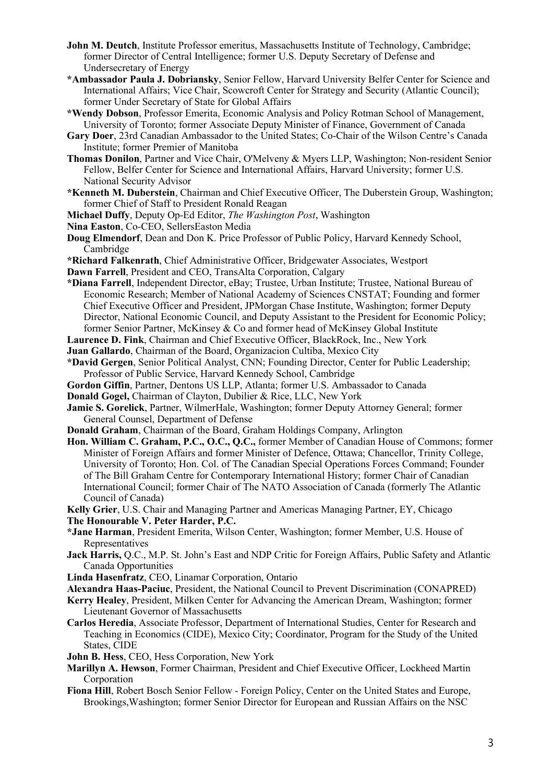- **John M. Deutch**, Institute Professor emeritus, Massachusetts Institute of Technology, Cambridge; former Director of Central Intelligence; former U.S. Deputy Secretary of Defense and Undersecretary of Energy
- **\*Ambassador Paula J. Dobriansky**, Senior Fellow, Harvard University Belfer Center for Science and International Affairs; Vice Chair, Scowcroft Center for Strategy and Security (Atlantic Council); former Under Secretary of State for Global Affairs
- **\*Wendy Dobson**, Professor Emerita, Economic Analysis and Policy Rotman School of Management, University of Toronto; former Associate Deputy Minister of Finance, Government of Canada
- **Gary Doer**, 23rd Canadian Ambassador to the United States; Co-Chair of the Wilson Centre's Canada Institute; former Premier of Manitoba
- **Thomas Donilon**, Partner and Vice Chair, O'Melveny & Myers LLP, Washington; Non-resident Senior Fellow, Belfer Center for Science and International Affairs, Harvard University; former U.S. National Security Advisor
- **\*Kenneth M. Duberstein**, Chairman and Chief Executive Officer, The Duberstein Group, Washington; former Chief of Staff to President Ronald Reagan
- **Michael Duffy**, Deputy Op-Ed Editor, *The Washington Post*, Washington

**Nina Easton**, Co-CEO, SellersEaston Media

- **Doug Elmendorf**, Dean and Don K. Price Professor of Public Policy, Harvard Kennedy School, Cambridge
- **\*Richard Falkenrath**, Chief Administrative Officer, Bridgewater Associates, Westport
- **Dawn Farrell**, President and CEO, TransAlta Corporation, Calgary
- **\*Diana Farrell**, Independent Director, eBay; Trustee, Urban Institute; Trustee, National Bureau of Economic Research; Member of National Academy of Sciences CNSTAT; Founding and former Chief Executive Officer and President, JPMorgan Chase Institute, Washington; former Deputy Director, National Economic Council, and Deputy Assistant to the President for Economic Policy; former Senior Partner, McKinsey & Co and former head of McKinsey Global Institute
- **Laurence D. Fink**, Chairman and Chief Executive Officer, BlackRock, Inc., New York
- **Juan Gallardo**, Chairman of the Board, Organizacion Cultiba, Mexico City
- **\*David Gergen**, Senior Political Analyst, CNN; Founding Director, Center for Public Leadership; Professor of Public Service, Harvard Kennedy School, Cambridge
- **Gordon Giffin**, Partner, Dentons US LLP, Atlanta; former U.S. Ambassador to Canada
- **Donald Gogel,** Chairman of Clayton, Dubilier & Rice, LLC, New York
- **Jamie S. Gorelick**, Partner, WilmerHale, Washington; former Deputy Attorney General; former General Counsel, Department of Defense
- **Donald Graham**, Chairman of the Board, Graham Holdings Company, Arlington
- **Hon. William C. Graham, P.C., O.C., Q.C.,** former Member of Canadian House of Commons; former Minister of Foreign Affairs and former Minister of Defence, Ottawa; Chancellor, Trinity College, University of Toronto; Hon. Col. of The Canadian Special Operations Forces Command; Founder of The Bill Graham Centre for Contemporary International History; former Chair of Canadian International Council; former Chair of The NATO Association of Canada (formerly The Atlantic Council of Canada)
- **Kelly Grier**, U.S. Chair and Managing Partner and Americas Managing Partner, EY, Chicago **The Honourable V. Peter Harder, P.C.**
- **\*Jane Harman**, President Emerita, Wilson Center, Washington; former Member, U.S. House of Representatives
- **Jack Harris,** Q.C., M.P. St. John's East and NDP Critic for Foreign Affairs, Public Safety and Atlantic Canada Opportunities
- **Linda Hasenfratz**, CEO, Linamar Corporation, Ontario
- **Alexandra Haas-Paciuc**, President, the National Council to Prevent Discrimination (CONAPRED)
- **Kerry Healey**, President, Milken Center for Advancing the American Dream, Washington; former Lieutenant Governor of Massachusetts
- **Carlos Heredia**, Associate Professor, Department of International Studies, Center for Research and Teaching in Economics (CIDE), Mexico City; Coordinator, Program for the Study of the United States, CIDE
- **John B. Hess**, CEO, Hess Corporation, New York
- **Marillyn A. Hewson**, Former Chairman, President and Chief Executive Officer, Lockheed Martin Corporation
- **Fiona Hill**, Robert Bosch Senior Fellow Foreign Policy, Center on the United States and Europe, Brookings,Washington; former Senior Director for European and Russian Affairs on the NSC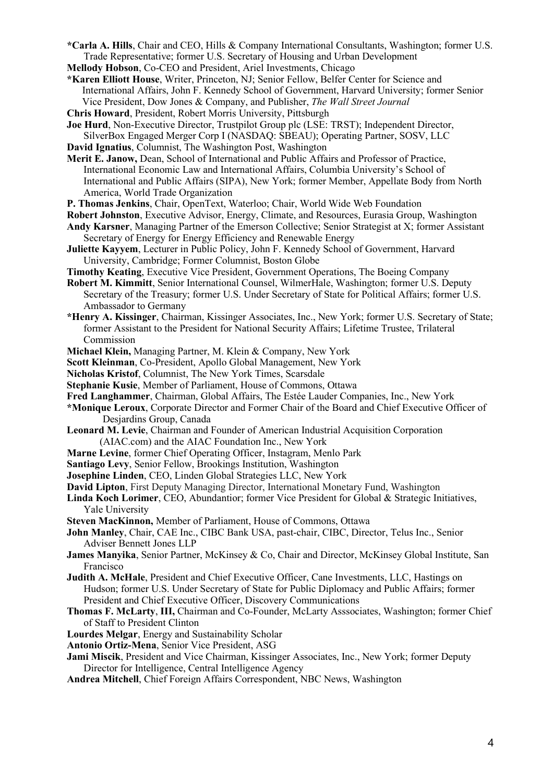- **\*Carla A. Hills**, Chair and CEO, Hills & Company International Consultants, Washington; former U.S. Trade Representative; former U.S. Secretary of Housing and Urban Development
- **Mellody Hobson**, Co-CEO and President, Ariel Investments, Chicago

**\*Karen Elliott House**, Writer, Princeton, NJ; Senior Fellow, Belfer Center for Science and International Affairs, John F. Kennedy School of Government, Harvard University; former Senior Vice President, Dow Jones & Company, and Publisher, *The Wall Street Journal*

**Chris Howard**, President, Robert Morris University, Pittsburgh

**Joe Hurd**, Non-Executive Director, Trustpilot Group plc (LSE: TRST); Independent Director,

- SilverBox Engaged Merger Corp I (NASDAQ: SBEAU); Operating Partner, SOSV, LLC **David Ignatius**, Columnist, The Washington Post, Washington
- **Merit E. Janow,** Dean, School of International and Public Affairs and Professor of Practice, International Economic Law and International Affairs, Columbia University's School of International and Public Affairs (SIPA), New York; former Member, Appellate Body from North America, World Trade Organization
- **P. Thomas Jenkins**, Chair, OpenText, Waterloo; Chair, World Wide Web Foundation
- **Robert Johnston**, Executive Advisor, Energy, Climate, and Resources, Eurasia Group, Washington
- **Andy Karsner**, Managing Partner of the Emerson Collective; Senior Strategist at X; former Assistant Secretary of Energy for Energy Efficiency and Renewable Energy
- **Juliette Kayyem**, Lecturer in Public Policy, John F. Kennedy School of Government, Harvard University, Cambridge; Former Columnist, Boston Globe
- **Timothy Keating**, Executive Vice President, Government Operations, The Boeing Company
- **Robert M. Kimmitt**, Senior International Counsel, WilmerHale, Washington; former U.S. Deputy Secretary of the Treasury; former U.S. Under Secretary of State for Political Affairs; former U.S. Ambassador to Germany
- **\*Henry A. Kissinger**, Chairman, Kissinger Associates, Inc., New York; former U.S. Secretary of State; former Assistant to the President for National Security Affairs; Lifetime Trustee, Trilateral Commission
- **Michael Klein,** Managing Partner, M. Klein & Company, New York
- **Scott Kleinman**, Co-President, Apollo Global Management, New York
- **Nicholas Kristof**, Columnist, The New York Times, Scarsdale
- **Stephanie Kusie**, Member of Parliament, House of Commons, Ottawa
- **Fred Langhammer**, Chairman, Global Affairs, The Estée Lauder Companies, Inc., New York
- **\*Monique Leroux**, Corporate Director and Former Chair of the Board and Chief Executive Officer of Desjardins Group, Canada
- **Leonard M. Levie**, Chairman and Founder of American Industrial Acquisition Corporation (AIAC.com) and the AIAC Foundation Inc., New York
- **Marne Levine**, former Chief Operating Officer, Instagram, Menlo Park
- **Santiago Levy**, Senior Fellow, Brookings Institution, Washington
- **Josephine Linden**, CEO, Linden Global Strategies LLC, New York
- **David Lipton**, First Deputy Managing Director, International Monetary Fund, Washington
- **Linda Koch Lorimer**, CEO, Abundantior; former Vice President for Global & Strategic Initiatives, Yale University
- **Steven MacKinnon,** Member of Parliament, House of Commons, Ottawa
- **John Manley**, Chair, CAE Inc., CIBC Bank USA, past-chair, CIBC, Director, Telus Inc., Senior Adviser Bennett Jones LLP
- **James Manyika**, Senior Partner, McKinsey & Co, Chair and Director, McKinsey Global Institute, San Francisco
- **Judith A. McHale**, President and Chief Executive Officer, Cane Investments, LLC, Hastings on Hudson; former U.S. Under Secretary of State for Public Diplomacy and Public Affairs; former President and Chief Executive Officer, Discovery Communications
- **Thomas F. McLarty**, **III,** Chairman and Co-Founder, McLarty Asssociates, Washington; former Chief of Staff to President Clinton
- **Lourdes Melgar**, Energy and Sustainability Scholar
- **Antonio Ortiz-Mena**, Senior Vice President, ASG
- **Jami Miscik**, President and Vice Chairman, Kissinger Associates, Inc., New York; former Deputy Director for Intelligence, Central Intelligence Agency
- **Andrea Mitchell**, Chief Foreign Affairs Correspondent, NBC News, Washington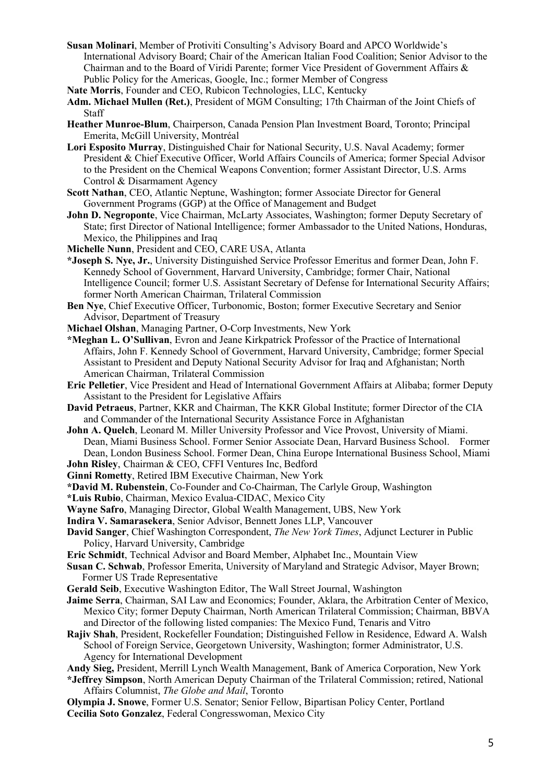- **Susan Molinari**, Member of Protiviti Consulting's Advisory Board and APCO Worldwide's International Advisory Board; Chair of the American Italian Food Coalition; Senior Advisor to the Chairman and to the Board of Viridi Parente; former Vice President of Government Affairs & Public Policy for the Americas, Google, Inc.; former Member of Congress
- **Nate Morris**, Founder and CEO, Rubicon Technologies, LLC, Kentucky
- **Adm. Michael Mullen (Ret.)**, President of MGM Consulting; 17th Chairman of the Joint Chiefs of Staff
- **Heather Munroe-Blum**, Chairperson, Canada Pension Plan Investment Board, Toronto; Principal Emerita, McGill University, Montréal
- **Lori Esposito Murray**, Distinguished Chair for National Security, U.S. Naval Academy; former President & Chief Executive Officer, World Affairs Councils of America; former Special Advisor to the President on the Chemical Weapons Convention; former Assistant Director, U.S. Arms Control & Disarmament Agency
- **Scott Nathan**, CEO, Atlantic Neptune, Washington; former Associate Director for General Government Programs (GGP) at the Office of Management and Budget
- **John D. Negroponte**, Vice Chairman, McLarty Associates, Washington; former Deputy Secretary of State; first Director of National Intelligence; former Ambassador to the United Nations, Honduras, Mexico, the Philippines and Iraq
- **Michelle Nunn**, President and CEO, CARE USA, Atlanta
- **\*Joseph S. Nye, Jr.**, University Distinguished Service Professor Emeritus and former Dean, John F. Kennedy School of Government, Harvard University, Cambridge; former Chair, National Intelligence Council; former U.S. Assistant Secretary of Defense for International Security Affairs; former North American Chairman, Trilateral Commission
- **Ben Nye**, Chief Executive Officer, Turbonomic, Boston; former Executive Secretary and Senior Advisor, Department of Treasury
- **Michael Olshan**, Managing Partner, O-Corp Investments, New York
- **\*Meghan L. O'Sullivan**, Evron and Jeane Kirkpatrick Professor of the Practice of International Affairs, John F. Kennedy School of Government, Harvard University, Cambridge; former Special Assistant to President and Deputy National Security Advisor for Iraq and Afghanistan; North American Chairman, Trilateral Commission
- **Eric Pelletier**, Vice President and Head of International Government Affairs at Alibaba; former Deputy Assistant to the President for Legislative Affairs
- **David Petraeus**, Partner, KKR and Chairman, The KKR Global Institute; former Director of the CIA and Commander of the International Security Assistance Force in Afghanistan
- **John A. Quelch**, Leonard M. Miller University Professor and Vice Provost, University of Miami. Dean, Miami Business School. Former Senior Associate Dean, Harvard Business School. Former Dean, London Business School. Former Dean, China Europe International Business School, Miami
- **John Risley**, Chairman & CEO, CFFI Ventures Inc, Bedford
- **Ginni Rometty**, Retired IBM Executive Chairman, New York
- **\*David M. Rubenstein**, Co-Founder and Co-Chairman, The Carlyle Group, Washington
- **\*Luis Rubio**, Chairman, Mexico Evalua-CIDAC, Mexico City
- **Wayne Safro**, Managing Director, Global Wealth Management, UBS, New York
- **Indira V. Samarasekera**, Senior Advisor, Bennett Jones LLP, Vancouver
- **David Sanger**, Chief Washington Correspondent, *The New York Times*, Adjunct Lecturer in Public Policy, Harvard University, Cambridge
- **Eric Schmidt**, Technical Advisor and Board Member, Alphabet Inc., Mountain View
- **Susan C. Schwab**, Professor Emerita, University of Maryland and Strategic Advisor, Mayer Brown; Former US Trade Representative
- **Gerald Seib**, Executive Washington Editor, The Wall Street Journal, Washington
- **Jaime Serra**, Chairman, SAI Law and Economics; Founder, Aklara, the Arbitration Center of Mexico, Mexico City; former Deputy Chairman, North American Trilateral Commission; Chairman, BBVA and Director of the following listed companies: The Mexico Fund, Tenaris and Vitro
- **Rajiv Shah**, President, Rockefeller Foundation; Distinguished Fellow in Residence, Edward A. Walsh School of Foreign Service, Georgetown University, Washington; former Administrator, U.S. Agency for International Development
- **Andy Sieg,** President, Merrill Lynch Wealth Management, Bank of America Corporation, New York
- **\*Jeffrey Simpson**, North American Deputy Chairman of the Trilateral Commission; retired, National Affairs Columnist, *The Globe and Mail*, Toronto
- **Olympia J. Snowe**, Former U.S. Senator; Senior Fellow, Bipartisan Policy Center, Portland **Cecilia Soto Gonzalez**, Federal Congresswoman, Mexico City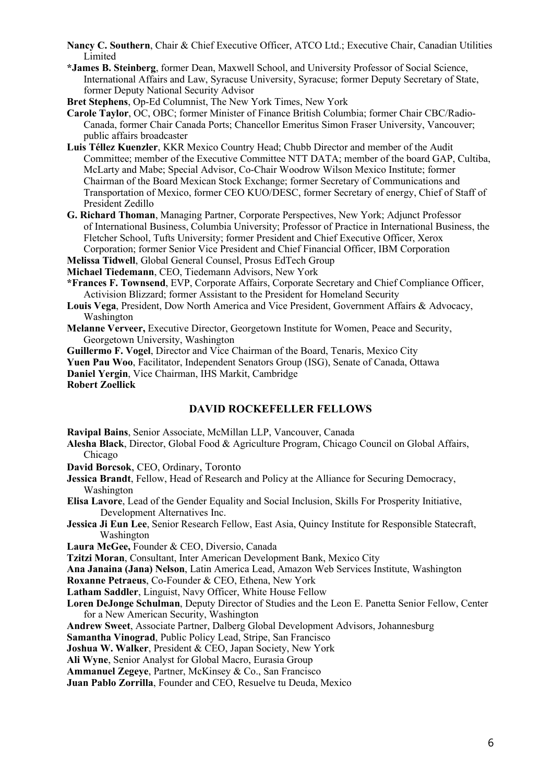- **Nancy C. Southern**, Chair & Chief Executive Officer, ATCO Ltd.; Executive Chair, Canadian Utilities Limited
- **\*James B. Steinberg**, former Dean, Maxwell School, and University Professor of Social Science, International Affairs and Law, Syracuse University, Syracuse; former Deputy Secretary of State, former Deputy National Security Advisor

**Bret Stephens**, Op-Ed Columnist, The New York Times, New York

- **Carole Taylor**, OC, OBC; former Minister of Finance British Columbia; former Chair CBC/Radio-Canada, former Chair Canada Ports; Chancellor Emeritus Simon Fraser University, Vancouver; public affairs broadcaster
- **Luis Téllez Kuenzler**, KKR Mexico Country Head; Chubb Director and member of the Audit Committee; member of the Executive Committee NTT DATA; member of the board GAP, Cultiba, McLarty and Mabe; Special Advisor, Co-Chair Woodrow Wilson Mexico Institute; former Chairman of the Board Mexican Stock Exchange; former Secretary of Communications and Transportation of Mexico, former CEO KUO/DESC, former Secretary of energy, Chief of Staff of President Zedillo
- **G. Richard Thoman**, Managing Partner, Corporate Perspectives, New York; Adjunct Professor of International Business, Columbia University; Professor of Practice in International Business, the Fletcher School, Tufts University; former President and Chief Executive Officer, Xerox Corporation; former Senior Vice President and Chief Financial Officer, IBM Corporation

**Melissa Tidwell**, Global General Counsel, Prosus EdTech Group

**Michael Tiedemann**, CEO, Tiedemann Advisors, New York

- **\*Frances F. Townsend**, EVP, Corporate Affairs, Corporate Secretary and Chief Compliance Officer, Activision Blizzard; former Assistant to the President for Homeland Security
- **Louis Vega**, President, Dow North America and Vice President, Government Affairs & Advocacy, Washington
- **Melanne Verveer,** Executive Director, Georgetown Institute for Women, Peace and Security, Georgetown University, Washington

**Guillermo F. Vogel**, Director and Vice Chairman of the Board, Tenaris, Mexico City

**Yuen Pau Woo**, Facilitator, Independent Senators Group (ISG), Senate of Canada, Ottawa

**Daniel Yergin**, Vice Chairman, IHS Markit, Cambridge

**Robert Zoellick**

#### **DAVID ROCKEFELLER FELLOWS**

**Ravipal Bains**, Senior Associate, McMillan LLP, Vancouver, Canada

- **Alesha Black**, Director, Global Food & Agriculture Program, Chicago Council on Global Affairs, Chicago
- **David Borcsok**, CEO, Ordinary, Toronto
- **Jessica Brandt**, Fellow, Head of Research and Policy at the Alliance for Securing Democracy, Washington
- **Elisa Lavore**, Lead of the Gender Equality and Social Inclusion, Skills For Prosperity Initiative, Development Alternatives Inc.
- **Jessica Ji Eun Lee**, Senior Research Fellow, East Asia, Quincy Institute for Responsible Statecraft, Washington

**Laura McGee,** Founder & CEO, Diversio, Canada

**Tzitzi Moran**, Consultant, Inter American Development Bank, Mexico City

**Ana Janaina (Jana) Nelson**, Latin America Lead, Amazon Web Services Institute, Washington

**Roxanne Petraeus**, Co-Founder & CEO, Ethena, New York

**Latham Saddler**, Linguist, Navy Officer, White House Fellow

**Loren DeJonge Schulman**, Deputy Director of Studies and the Leon E. Panetta Senior Fellow, Center for a New American Security, Washington

**Andrew Sweet**, Associate Partner, Dalberg Global Development Advisors, Johannesburg

**Samantha Vinograd**, Public Policy Lead, Stripe, San Francisco

**Joshua W. Walker**, President & CEO, Japan Society, New York

**Ali Wyne**, Senior Analyst for Global Macro, Eurasia Group

**Ammanuel Zegeye**, Partner, McKinsey & Co., San Francisco

**Juan Pablo Zorrilla**, Founder and CEO, Resuelve tu Deuda, Mexico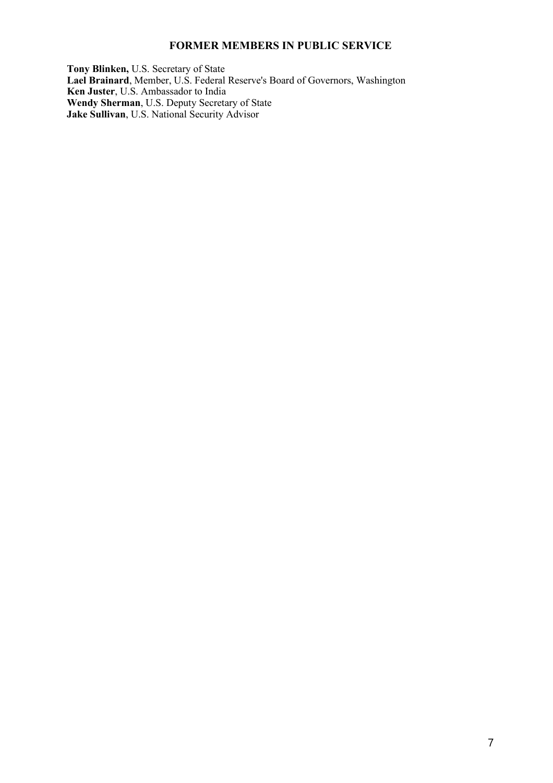#### **FORMER MEMBERS IN PUBLIC SERVICE**

**Tony Blinken,** U.S. Secretary of State **Lael Brainard**, Member, U.S. Federal Reserve's Board of Governors, Washington **Ken Juster**, U.S. Ambassador to India **Wendy Sherman**, U.S. Deputy Secretary of State **Jake Sullivan**, U.S. National Security Advisor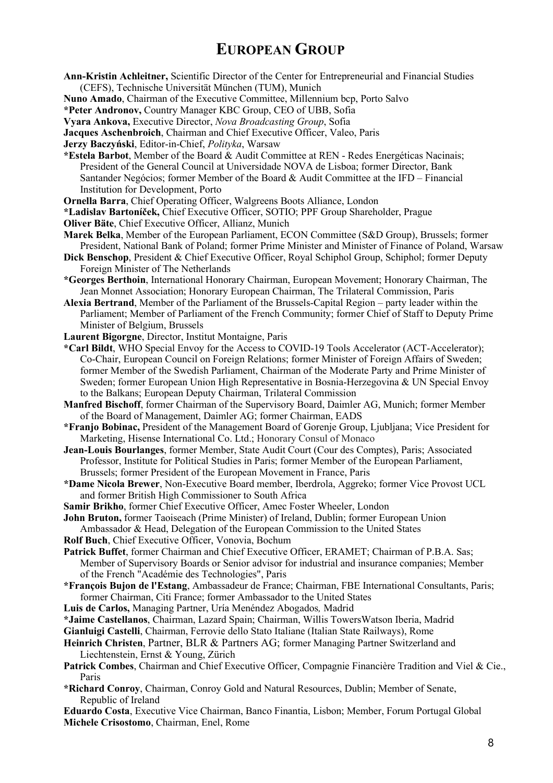## **EUROPEAN GROUP**

**Ann-Kristin Achleitner,** Scientific Director of the Center for Entrepreneurial and Financial Studies (CEFS), Technische Universität München (TUM), Munich

**Nuno Amado**, Chairman of the Executive Committee, Millennium bcp, Porto Salvo

**\*Peter Andronov,** Country Manager KBC Group, CEO of UBB, Sofia

**Vyara Ankova,** Executive Director, *Nova Broadcasting Group*, Sofia

**Jacques Aschenbroich**, Chairman and Chief Executive Officer, Valeo, Paris

**Jerzy Baczyński**, Editor-in-Chief, *Polityka*, Warsaw

- **\*Estela Barbot**, Member of the Board & Audit Committee at REN Redes Energéticas Nacinais; President of the General Council at Universidade NOVA de Lisboa; former Director, Bank Santander Negócios; former Member of the Board & Audit Committee at the IFD – Financial Institution for Development, Porto
- **Ornella Barra**, Chief Operating Officer, Walgreens Boots Alliance, London

**\*Ladislav Bartoníček,** Chief Executive Officer, SOTIO; PPF Group Shareholder, Prague

**Oliver Bäte**, Chief Executive Officer, Allianz, Munich

- **Marek Belka**, Member of the European Parliament, ECON Committee (S&D Group), Brussels; former President, National Bank of Poland; former Prime Minister and Minister of Finance of Poland, Warsaw
- **Dick Benschop**, President & Chief Executive Officer, Royal Schiphol Group, Schiphol; former Deputy Foreign Minister of The Netherlands
- **\*Georges Berthoin**, International Honorary Chairman, European Movement; Honorary Chairman, The Jean Monnet Association; Honorary European Chairman, The Trilateral Commission, Paris
- **Alexia Bertrand**, Member of the Parliament of the Brussels-Capital Region party leader within the Parliament; Member of Parliament of the French Community; former Chief of Staff to Deputy Prime Minister of Belgium, Brussels
- **Laurent Bigorgne**, Director, Institut Montaigne, Paris
- **\*Carl Bildt**, WHO Special Envoy for the Access to COVID-19 Tools Accelerator (ACT-Accelerator); Co-Chair, European Council on Foreign Relations; former Minister of Foreign Affairs of Sweden; former Member of the Swedish Parliament, Chairman of the Moderate Party and Prime Minister of Sweden; former European Union High Representative in Bosnia-Herzegovina & UN Special Envoy to the Balkans; European Deputy Chairman, Trilateral Commission
- **Manfred Bischoff**, former Chairman of the Supervisory Board, Daimler AG, Munich; former Member of the Board of Management, Daimler AG; former Chairman, EADS

**\*Franjo Bobinac,** President of the Management Board of Gorenje Group, Ljubljana; Vice President for Marketing, Hisense International Co. Ltd.; Honorary Consul of Monaco

- **Jean-Louis Bourlanges**, former Member, State Audit Court (Cour des Comptes), Paris; Associated Professor, Institute for Political Studies in Paris; former Member of the European Parliament, Brussels; former President of the European Movement in France, Paris
- **\*Dame Nicola Brewer**, Non-Executive Board member, Iberdrola, Aggreko; former Vice Provost UCL and former British High Commissioner to South Africa
- **Samir Brikho**, former Chief Executive Officer, Amec Foster Wheeler, London

**John Bruton,** former Taoiseach (Prime Minister) of Ireland, Dublin; former European Union

- Ambassador & Head, Delegation of the European Commission to the United States
- **Rolf Buch**, Chief Executive Officer, Vonovia, Bochum
- **Patrick Buffet**, former Chairman and Chief Executive Officer, ERAMET; Chairman of P.B.A. Sas; Member of Supervisory Boards or Senior advisor for industrial and insurance companies; Member of the French "Académie des Technologies", Paris
- **\*François Bujon de l'Estang**, Ambassadeur de France; Chairman, FBE International Consultants, Paris; former Chairman, Citi France; former Ambassador to the United States
- **Luis de Carlos,** Managing Partner, Uría Menéndez Abogados*,* Madrid
- **\*Jaime Castellanos**, Chairman, Lazard Spain; Chairman, Willis TowersWatson Iberia, Madrid

**Gianluigi Castelli**, Chairman, Ferrovie dello Stato Italiane (Italian State Railways), Rome

**Heinrich Christen**, Partner, BLR & Partners AG; former Managing Partner Switzerland and Liechtenstein, Ernst & Young, Zürich

- **Patrick Combes**, Chairman and Chief Executive Officer, Compagnie Financière Tradition and Viel & Cie., Paris
- **\*Richard Conroy**, Chairman, Conroy Gold and Natural Resources, Dublin; Member of Senate, Republic of Ireland

**Eduardo Costa**, Executive Vice Chairman, Banco Finantia, Lisbon; Member, Forum Portugal Global **Michele Crisostomo**, Chairman, Enel, Rome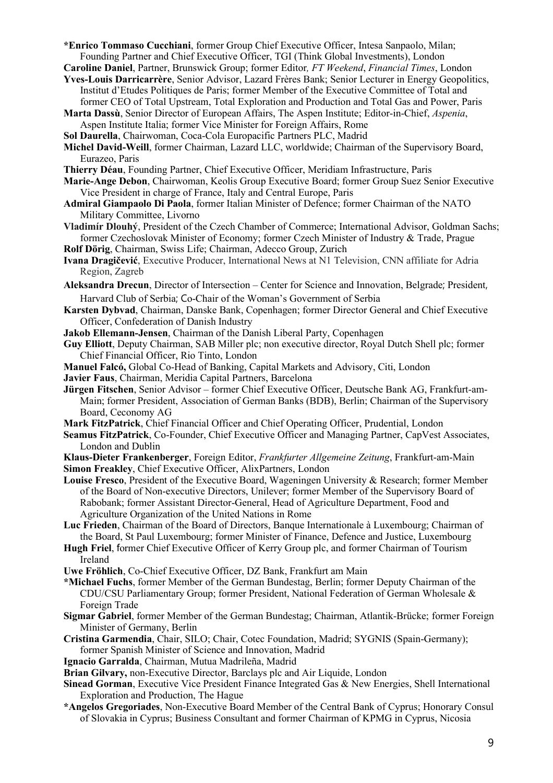**\*Enrico Tommaso Cucchiani**, former Group Chief Executive Officer, Intesa Sanpaolo, Milan; Founding Partner and Chief Executive Officer, TGI (Think Global Investments), London

**Caroline Daniel**, Partner, Brunswick Group; former Editor*, FT Weekend*, *Financial Times*, London

- **Yves-Louis Darricarrère**, Senior Advisor, Lazard Frères Bank; Senior Lecturer in Energy Geopolitics, Institut d'Etudes Politiques de Paris; former Member of the Executive Committee of Total and former CEO of Total Upstream, Total Exploration and Production and Total Gas and Power, Paris
- **Marta Dassù**, Senior Director of European Affairs, The Aspen Institute; Editor-in-Chief, *Aspenia*, Aspen Institute Italia; former Vice Minister for Foreign Affairs, Rome
- **Sol Daurella**, Chairwoman, Coca-Cola Europacific Partners PLC, Madrid
- **Michel David-Weill**, former Chairman, Lazard LLC, worldwide; Chairman of the Supervisory Board, Eurazeo, Paris
- **Thierry Déau**, Founding Partner, Chief Executive Officer, Meridiam Infrastructure, Paris
- **Marie-Ange Debon**, Chairwoman, Keolis Group Executive Board; former Group Suez Senior Executive Vice President in charge of France, Italy and Central Europe, Paris
- **Admiral Giampaolo Di Paola**, former Italian Minister of Defence; former Chairman of the NATO Military Committee, Livorno
- **Vladimír Dlouhý**, President of the Czech Chamber of Commerce; International Advisor, Goldman Sachs; former Czechoslovak Minister of Economy; former Czech Minister of Industry & Trade, Prague **Rolf Dörig**, Chairman, Swiss Life; Chairman, Adecco Group, Zurich
- **Ivana Dragičević**, Executive Producer, International News at N1 Television, CNN affiliate for Adria Region, Zagreb
- **Aleksandra Drecun**, Director of Intersection Center for Science and Innovation, Belgrade; President, Harvard Club of Serbia; Co-Chair of the Woman's Government of Serbia
- **Karsten Dybvad**, Chairman, Danske Bank, Copenhagen; former Director General and Chief Executive Officer, Confederation of Danish Industry
- **Jakob Ellemann-Jensen**, Chairman of the Danish Liberal Party, Copenhagen
- **Guy Elliott**, Deputy Chairman, SAB Miller plc; non executive director, Royal Dutch Shell plc; former Chief Financial Officer, Rio Tinto, London
- **Manuel Falcó,** Global Co-Head of Banking, Capital Markets and Advisory, Citi, London
- **Javier Faus**, Chairman, Meridia Capital Partners, Barcelona
- **Jürgen Fitschen**, Senior Advisor former Chief Executive Officer, Deutsche Bank AG, Frankfurt-am-Main; former President, Association of German Banks (BDB), Berlin; Chairman of the Supervisory Board, Ceconomy AG
- **Mark FitzPatrick**, Chief Financial Officer and Chief Operating Officer, Prudential, London
- **Seamus FitzPatrick**, Co-Founder, Chief Executive Officer and Managing Partner, CapVest Associates, London and Dublin
- **Klaus-Dieter Frankenberger**, Foreign Editor, *Frankfurter Allgemeine Zeitung*, Frankfurt-am-Main **Simon Freakley**, Chief Executive Officer, AlixPartners, London
- **Louise Fresco**, President of the Executive Board, Wageningen University & Research; former Member of the Board of Non-executive Directors, Unilever; former Member of the Supervisory Board of Rabobank; former Assistant Director-General, Head of Agriculture Department, Food and Agriculture Organization of the United Nations in Rome
- **Luc Frieden**, Chairman of the Board of Directors, Banque Internationale à Luxembourg; Chairman of the Board, St Paul Luxembourg; former Minister of Finance, Defence and Justice, Luxembourg
- **Hugh Friel**, former Chief Executive Officer of Kerry Group plc, and former Chairman of Tourism Ireland
- **Uwe Fröhlich**, Co-Chief Executive Officer, DZ Bank, Frankfurt am Main
- **\*Michael Fuchs**, former Member of the German Bundestag, Berlin; former Deputy Chairman of the CDU/CSU Parliamentary Group; former President, National Federation of German Wholesale & Foreign Trade
- **Sigmar Gabriel**, former Member of the German Bundestag; Chairman, Atlantik-Brücke; former Foreign Minister of Germany, Berlin
- **Cristina Garmendia**, Chair, SILO; Chair, Cotec Foundation, Madrid; SYGNIS (Spain-Germany); former Spanish Minister of Science and Innovation, Madrid
- **Ignacio Garralda**, Chairman, Mutua Madrileña, Madrid
- **Brian Gilvary,** non-Executive Director, Barclays plc and Air Liquide, London
- **Sinead Gorman**, Executive Vice President Finance Integrated Gas & New Energies, Shell International Exploration and Production, The Hague
- **\*Angelos Gregoriades**, Non-Executive Board Member of the Central Bank of Cyprus; Honorary Consul of Slovakia in Cyprus; Business Consultant and former Chairman of KPMG in Cyprus, Nicosia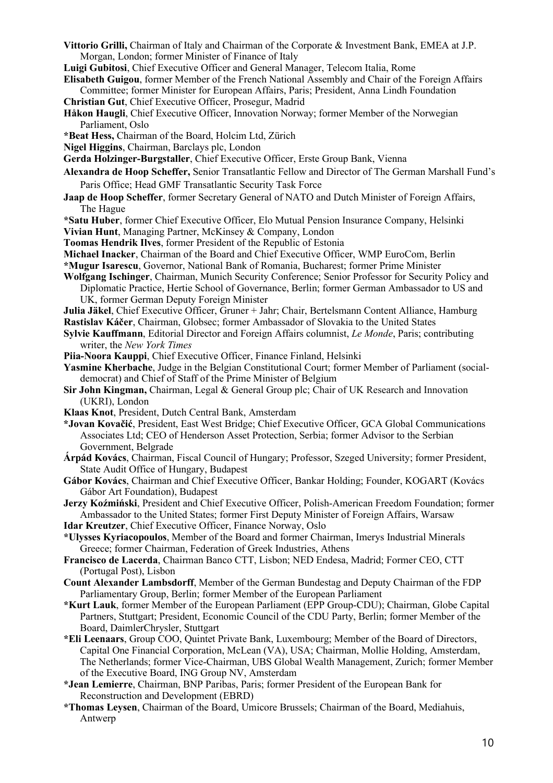- **Vittorio Grilli,** Chairman of Italy and Chairman of the Corporate & Investment Bank, EMEA at J.P. Morgan, London; former Minister of Finance of Italy
- **Luigi Gubitosi**, Chief Executive Officer and General Manager, Telecom Italia, Rome
- **Elisabeth Guigou**, former Member of the French National Assembly and Chair of the Foreign Affairs Committee; former Minister for European Affairs, Paris; President, Anna Lindh Foundation
- **Christian Gut**, Chief Executive Officer, Prosegur, Madrid
- **Håkon Haugli**, Chief Executive Officer, Innovation Norway; former Member of the Norwegian Parliament, Oslo
- **\*Beat Hess,** Chairman of the Board, Holcim Ltd, Zürich
- **Nigel Higgins**, Chairman, Barclays plc, London

**Gerda Holzinger-Burgstaller**, Chief Executive Officer, Erste Group Bank, Vienna

- **Alexandra de Hoop Scheffer,** Senior Transatlantic Fellow and Director of The German Marshall Fund's Paris Office; Head GMF [Transatlantic Security Task](http://www.gmfus.org/programs/signature-conferences/transatlantic-security-task-force/) Force
- **Jaap de Hoop Scheffer**, former Secretary General of NATO and Dutch Minister of Foreign Affairs, The Hague
- **\*Satu Huber**, former Chief Executive Officer, Elo Mutual Pension Insurance Company, Helsinki
- **Vivian Hunt**, Managing Partner, McKinsey & Company, London
- **Toomas Hendrik Ilves**, former President of the Republic of Estonia
- **Michael Inacker**, Chairman of the Board and Chief Executive Officer, WMP EuroCom, Berlin
- **\*Mugur Isarescu**, Governor, National Bank of Romania, Bucharest; former Prime Minister
- **Wolfgang Ischinger**, Chairman, Munich Security Conference; Senior Professor for Security Policy and Diplomatic Practice, Hertie School of Governance, Berlin; former German Ambassador to US and UK, former German Deputy Foreign Minister
- **Julia Jäkel**, Chief Executive Officer, Gruner + Jahr; Chair, Bertelsmann Content Alliance, Hamburg
- **Rastislav Káčer**, Chairman, Globsec; former Ambassador of Slovakia to the United States
- **Sylvie Kauffmann**, Editorial Director and Foreign Affairs columnist, *Le Monde*, Paris; contributing writer, the *New York Times*
- **Piia-Noora Kauppi**, Chief Executive Officer, Finance Finland, Helsinki
- **Yasmine Kherbache**, Judge in the Belgian Constitutional Court; former Member of Parliament (socialdemocrat) and Chief of Staff of the Prime Minister of Belgium
- **Sir John Kingman,** Chairman, Legal & General Group plc; Chair of UK Research and Innovation (UKRI), London
- **Klaas Knot**, President, Dutch Central Bank, Amsterdam
- **\*Jovan Kovačić**, President, East West Bridge; Chief Executive Officer, GCA Global Communications Associates Ltd; CEO of Henderson Asset Protection, Serbia; former Advisor to the Serbian Government, Belgrade
- **Árpád Kovács**, Chairman, Fiscal Council of Hungary; Professor, Szeged University; former President, State Audit Office of Hungary, Budapest
- **Gábor Kovács**, Chairman and Chief Executive Officer, Bankar Holding; Founder, KOGART (Kovács Gábor Art Foundation), Budapest
- **Jerzy Koźmiński**, President and Chief Executive Officer, Polish-American Freedom Foundation; former Ambassador to the United States; former First Deputy Minister of Foreign Affairs, Warsaw
- **Idar Kreutzer**, Chief Executive Officer, Finance Norway, Oslo
- **\*Ulysses Kyriacopoulos**, Member of the Board and former Chairman, Imerys Industrial Minerals Greece; former Chairman, Federation of Greek Industries, Athens
- **Francisco de Lacerda**, Chairman Banco CTT, Lisbon; NED Endesa, Madrid; Former CEO, CTT (Portugal Post), Lisbon
- **Count Alexander Lambsdorff**, Member of the German Bundestag and Deputy Chairman of the FDP Parliamentary Group, Berlin; former Member of the European Parliament
- **\*Kurt Lauk**, former Member of the European Parliament (EPP Group-CDU); Chairman, Globe Capital Partners, Stuttgart; President, Economic Council of the CDU Party, Berlin; former Member of the Board, DaimlerChrysler, Stuttgart
- **\*Eli Leenaars**, Group COO, Quintet Private Bank, Luxembourg; Member of the Board of Directors, Capital One Financial Corporation, McLean (VA), USA; Chairman, Mollie Holding, Amsterdam, The Netherlands; former Vice-Chairman, UBS Global Wealth Management, Zurich; former Member of the Executive Board, ING Group NV, Amsterdam
- **\*Jean Lemierre**, Chairman, BNP Paribas, Paris; former President of the European Bank for Reconstruction and Development (EBRD)
- **\*Thomas Leysen**, Chairman of the Board, Umicore Brussels; Chairman of the Board, Mediahuis, Antwerp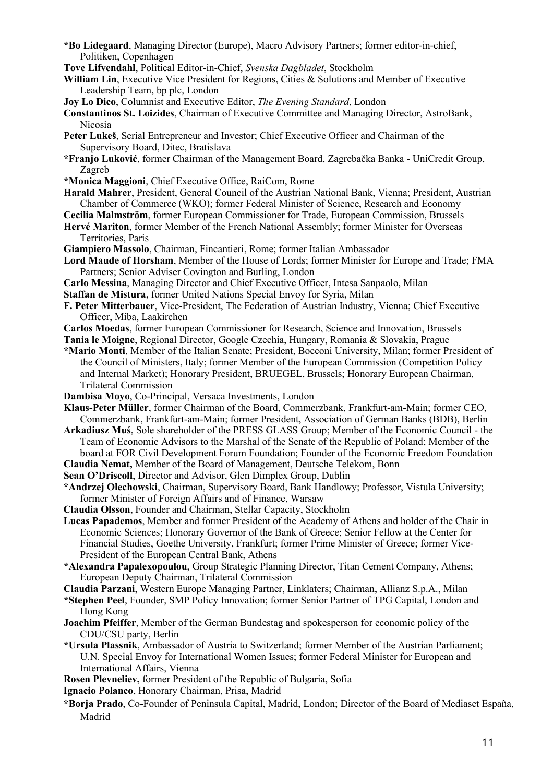- **\*Bo Lidegaard**, Managing Director (Europe), Macro Advisory Partners; former editor-in-chief, Politiken, Copenhagen
- **Tove Lifvendahl**, Political Editor-in-Chief, *Svenska Dagbladet*, Stockholm
- **William Lin**, Executive Vice President for Regions, Cities & Solutions and Member of Executive Leadership Team, bp plc, London
- **Joy Lo Dico**, Columnist and Executive Editor, *The Evening Standard*, London

**Constantinos St. Loizides**, Chairman of Executive Committee and Managing Director, AstroBank, Nicosia

- **Peter Lukeš**, Serial Entrepreneur and Investor; Chief Executive Officer and Chairman of the Supervisory Board, Ditec, Bratislava
- **\*Franjo Luković**, former Chairman of the Management Board, Zagrebačka Banka UniCredit Group, Zagreb
- **\*Monica Maggioni**, Chief Executive Office, RaiCom, Rome
- **Harald Mahrer**, President, General Council of the Austrian National Bank, Vienna; President, Austrian Chamber of Commerce (WKO); former Federal Minister of Science, Research and Economy
- **Cecilia Malmström**, former European Commissioner for Trade, European Commission, Brussels
- **Hervé Mariton**, former Member of the French National Assembly; former Minister for Overseas Territories, Paris
- **Giampiero Massolo**, Chairman, Fincantieri, Rome; former Italian Ambassador
- **Lord Maude of Horsham**, Member of the House of Lords; former Minister for Europe and Trade; FMA Partners; Senior Adviser Covington and Burling, London
- **Carlo Messina**, Managing Director and Chief Executive Officer, Intesa Sanpaolo, Milan

**Staffan de Mistura**, former United Nations Special Envoy for Syria, Milan

- **F. Peter Mitterbauer**, Vice-President, The Federation of Austrian Industry, Vienna; Chief Executive Officer, Miba, Laakirchen
- **Carlos Moedas**, former European Commissioner for Research, Science and Innovation, Brussels

**Tania le Moigne**, Regional Director, Google Czechia, Hungary, Romania & Slovakia, Prague

- **\*Mario Monti**, Member of the Italian Senate; President, Bocconi University, Milan; former President of the Council of Ministers, Italy; former Member of the European Commission (Competition Policy and Internal Market); Honorary President, BRUEGEL, Brussels; Honorary European Chairman, Trilateral Commission
- **Dambisa Moyo**, Co-Principal, Versaca Investments, London

**Klaus-Peter Müller**, former Chairman of the Board, Commerzbank, Frankfurt-am-Main; former CEO, Commerzbank, Frankfurt-am-Main; former President, Association of German Banks (BDB), Berlin

**Arkadiusz Muś**, Sole shareholder of the PRESS GLASS Group; Member of the Economic Council - the Team of Economic Advisors to the Marshal of the Senate of the Republic of Poland; Member of the board at FOR Civil Development Forum Foundation; Founder of the Economic Freedom Foundation

**Claudia Nemat,** Member of the Board of Management, Deutsche Telekom, Bonn

**Sean O'Driscoll**, Director and Advisor, Glen Dimplex Group, Dublin

- **\*Andrzej Olechowski**, Chairman, Supervisory Board, Bank Handlowy; Professor, Vistula University; former Minister of Foreign Affairs and of Finance, Warsaw
- **Claudia Olsson**, Founder and Chairman, Stellar Capacity, Stockholm
- **Lucas Papademos**, Member and former President of the Academy of Athens and holder of the Chair in Economic Sciences; Honorary Governor of the Bank of Greece; Senior Fellow at the Center for Financial Studies, Goethe University, Frankfurt; former Prime Minister of Greece; former Vice-President of the European Central Bank, Athens
- **\*Alexandra Papalexopoulou**, Group Strategic Planning Director, Titan Cement Company, Athens; European Deputy Chairman, Trilateral Commission
- **Claudia Parzani**, Western Europe Managing Partner, Linklaters; Chairman, Allianz S.p.A., Milan

**\*Stephen Peel**, Founder, SMP Policy Innovation; former Senior Partner of TPG Capital, London and Hong Kong

**Joachim Pfeiffer**, Member of the German Bundestag and spokesperson for economic policy of the CDU/CSU party, Berlin

**\*Ursula Plassnik**, Ambassador of Austria to Switzerland; former Member of the Austrian Parliament; U.N. Special Envoy for International Women Issues; former Federal Minister for European and International Affairs, Vienna

**Rosen Plevneliev,** former President of the Republic of Bulgaria, Sofia

- **Ignacio Polanco**, Honorary Chairman, Prisa, Madrid
- **\*Borja Prado**, Co-Founder of Peninsula Capital, Madrid, London; Director of the Board of Mediaset España, Madrid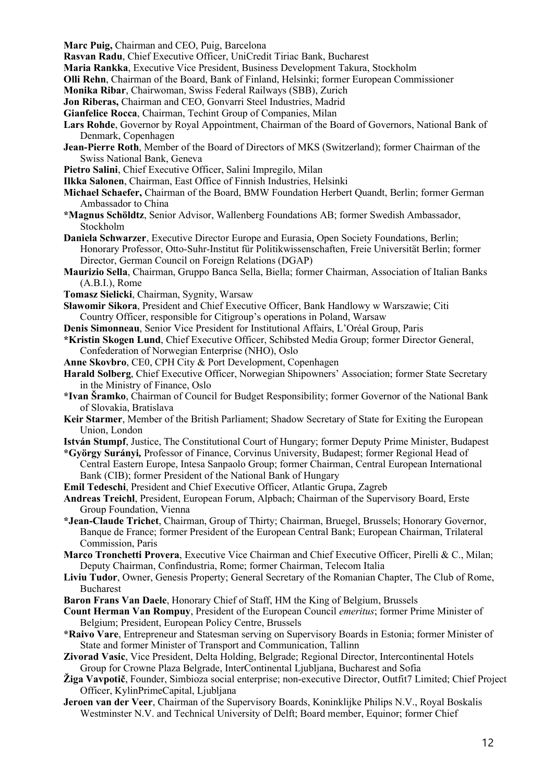**Marc Puig,** Chairman and CEO, Puig, Barcelona

**Rasvan Radu**, Chief Executive Officer, UniCredit Tiriac Bank, Bucharest

**Maria Rankka**, Executive Vice President, Business Development Takura, Stockholm

**Olli Rehn**, Chairman of the Board, Bank of Finland, Helsinki; former European Commissioner

**Monika Ribar**, Chairwoman, Swiss Federal Railways (SBB), Zurich

**Jon Riberas,** Chairman and CEO, Gonvarri Steel Industries, Madrid

**Gianfelice Rocca**, Chairman, Techint Group of Companies, Milan

- **Lars Rohde**, Governor by Royal Appointment, Chairman of the Board of Governors, National Bank of Denmark, Copenhagen
- **Jean-Pierre Roth**, Member of the Board of Directors of MKS (Switzerland); former Chairman of the Swiss National Bank, Geneva
- **Pietro Salini**, Chief Executive Officer, Salini Impregilo, Milan
- **Ilkka Salonen**, Chairman, East Office of Finnish Industries, Helsinki
- **Michael Schaefer,** Chairman of the Board, BMW Foundation Herbert Quandt, Berlin; former German Ambassador to China
- **\*Magnus Schöldtz**, Senior Advisor, Wallenberg Foundations AB; former Swedish Ambassador, Stockholm
- **Daniela Schwarzer**, Executive Director Europe and Eurasia, Open Society Foundations, Berlin; Honorary Professor, Otto-Suhr-Institut für Politikwissenschaften, Freie Universität Berlin; former Director, German Council on Foreign Relations (DGAP)
- **Maurizio Sella**, Chairman, Gruppo Banca Sella, Biella; former Chairman, Association of Italian Banks (A.B.I.), Rome
- **Tomasz Sielicki**, Chairman, Sygnity, Warsaw
- **Sławomir Sikora**, President and Chief Executive Officer, Bank Handlowy w Warszawie; Citi Country Officer, responsible for Citigroup's operations in Poland, Warsaw
- **Denis Simonneau**, Senior Vice President for Institutional Affairs, L'Oréal Group, Paris
- **\*Kristin Skogen Lund**, Chief Executive Officer, Schibsted Media Group; former Director General, Confederation of Norwegian Enterprise (NHO), Oslo
- **Anne Skovbro**, CE0, CPH City & Port Development, Copenhagen
- **Harald Solberg**, Chief Executive Officer, Norwegian Shipowners' Association; former State Secretary in the Ministry of Finance, Oslo
- **\*Ivan Šramko**, Chairman of Council for Budget Responsibility; former Governor of the National Bank of Slovakia, Bratislava
- **Keir Starmer**, Member of the British Parliament; Shadow Secretary of State for Exiting the European Union, London
- **István Stumpf**, Justice, The Constitutional Court of Hungary; former Deputy Prime Minister, Budapest
- **\*György Surányi***,* Professor of Finance, Corvinus University, Budapest; former Regional Head of Central Eastern Europe, Intesa Sanpaolo Group; former Chairman, Central European International Bank (CIB); former President of the National Bank of Hungary
- **Emil Tedeschi**, President and Chief Executive Officer, Atlantic Grupa, Zagreb
- **Andreas Treichl**, President, European Forum, Alpbach; Chairman of the Supervisory Board, Erste Group Foundation, Vienna
- **\*Jean-Claude Trichet**, Chairman, Group of Thirty; Chairman, Bruegel, Brussels; Honorary Governor, Banque de France; former President of the European Central Bank; European Chairman, Trilateral Commission, Paris
- **Marco Tronchetti Provera**, Executive Vice Chairman and Chief Executive Officer, Pirelli & C., Milan; Deputy Chairman, Confindustria, Rome; former Chairman, Telecom Italia
- **Liviu Tudor**, Owner, Genesis Property; General Secretary of the Romanian Chapter, The Club of Rome, Bucharest
- **Baron Frans Van Daele**, Honorary Chief of Staff, HM the King of Belgium, Brussels
- **Count Herman Van Rompuy**, President of the European Council *emeritus*; former Prime Minister of Belgium; President, European Policy Centre, Brussels
- **\*Raivo Vare**, Entrepreneur and Statesman serving on Supervisory Boards in Estonia; former Minister of State and former Minister of Transport and Communication, Tallinn
- **Zivorad Vasic**, Vice President, Delta Holding, Belgrade; Regional Director, Intercontinental Hotels Group for Crowne Plaza Belgrade, InterContinental Ljubljana, Bucharest and Sofia
- **Žiga Vavpotič**, Founder, Simbioza social enterprise; non-executive Director, Outfit7 Limited; Chief Project Officer, KylinPrimeCapital, Ljubljana
- **Jeroen van der Veer**, Chairman of the Supervisory Boards, Koninklijke Philips N.V., Royal Boskalis Westminster N.V. and Technical University of Delft; Board member, Equinor; former Chief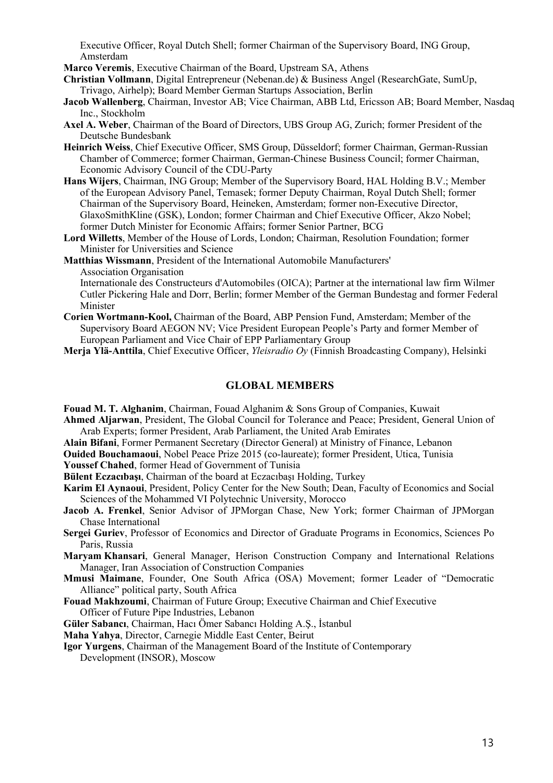Executive Officer, Royal Dutch Shell; former Chairman of the Supervisory Board, ING Group, Amsterdam

**Marco Veremis**, Executive Chairman of the Board, Upstream SA, Athens

**Christian Vollmann**, Digital Entrepreneur (Nebenan.de) & Business Angel (ResearchGate, SumUp, Trivago, Airhelp); Board Member German Startups Association, Berlin

- **Jacob Wallenberg**, Chairman, Investor AB; Vice Chairman, ABB Ltd, Ericsson AB; Board Member, Nasdaq Inc., Stockholm
- **Axel A. Weber**, Chairman of the Board of Directors, UBS Group AG, Zurich; former President of the Deutsche Bundesbank
- **Heinrich Weiss**, Chief Executive Officer, SMS Group, Düsseldorf; former Chairman, German-Russian Chamber of Commerce; former Chairman, German-Chinese Business Council; former Chairman, Economic Advisory Council of the CDU-Party
- **Hans Wijers**, Chairman, ING Group; Member of the Supervisory Board, HAL Holding B.V.; Member of the European Advisory Panel, Temasek; former Deputy Chairman, Royal Dutch Shell; former Chairman of the Supervisory Board, Heineken, Amsterdam; former non-Executive Director, GlaxoSmithKline (GSK), London; former Chairman and Chief Executive Officer, Akzo Nobel; former Dutch Minister for Economic Affairs; former Senior Partner, BCG
- **Lord Willetts**, Member of the House of Lords, London; Chairman, Resolution Foundation; former Minister for Universities and Science

**Matthias Wissmann**, President of the International Automobile Manufacturers' Association Organisation

Internationale des Constructeurs d'Automobiles (OICA); Partner at the international law firm Wilmer Cutler Pickering Hale and Dorr, Berlin; former Member of the German Bundestag and former Federal Minister

- **Corien Wortmann-Kool,** Chairman of the Board, ABP Pension Fund, Amsterdam; Member of the Supervisory Board AEGON NV; Vice President European People's Party and former Member of European Parliament and Vice Chair of EPP Parliamentary Group
- **Merja Ylä-Anttila**, Chief Executive Officer, *Yleisradio Oy* (Finnish Broadcasting Company), Helsinki

#### **GLOBAL MEMBERS**

**Fouad M. T. Alghanim**, Chairman, Fouad Alghanim & Sons Group of Companies, Kuwait

- **Ahmed Aljarwan**, President, The Global Council for Tolerance and Peace; President, General Union of Arab Experts; former President, Arab Parliament, the United Arab Emirates
- **Alain Bifani**, Former Permanent Secretary (Director General) at Ministry of Finance, Lebanon
- **Ouided Bouchamaoui**, Nobel Peace Prize 2015 (co-laureate); former President, Utica, Tunisia

**Youssef Chahed**, former Head of Government of Tunisia

**Bülent Eczacıbaşı**, Chairman of the board at Eczacıbaşı Holding, Turkey

- **Karim El Aynaoui**, President, Policy Center for the New South; Dean, Faculty of Economics and Social Sciences of the Mohammed VI Polytechnic University, Morocco
- **Jacob A. Frenkel**, Senior Advisor of JPMorgan Chase, New York; former Chairman of JPMorgan Chase International

**Sergei Guriev**, Professor of Economics and Director of Graduate Programs in Economics, Sciences Po Paris, Russia

**Maryam Khansari**, General Manager, Herison Construction Company and International Relations Manager, Iran Association of Construction Companies

- **Mmusi Maimane**, Founder, One South Africa (OSA) Movement; former Leader of "Democratic Alliance" political party, South Africa
- **Fouad Makhzoumi**, Chairman of Future Group; Executive Chairman and Chief Executive Officer of Future Pipe Industries, Lebanon

**Güler Sabancı**, Chairman, Hacı Ömer Sabancı Holding A.Ş., İstanbul

**Maha Yahya**, Director, Carnegie Middle East Center, Beirut

**Igor Yurgens**, Chairman of the Management Board of the Institute of Contemporary Development (INSOR), Moscow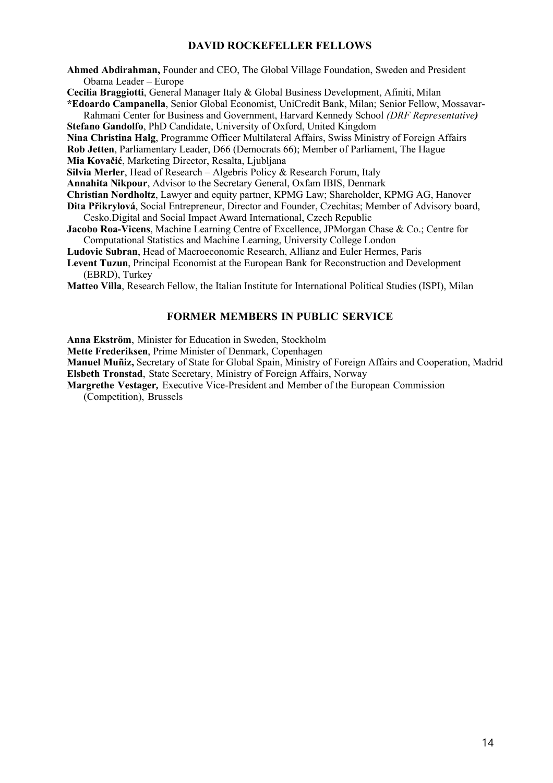#### **DAVID ROCKEFELLER FELLOWS**

**Ahmed Abdirahman,** Founder and CEO, The Global Village Foundation, Sweden and President Obama Leader – Europe

**Cecilia Braggiotti**, General Manager Italy & Global Business Development, Afiniti, Milan

**\*Edoardo Campanella**, Senior Global Economist, UniCredit Bank, Milan; Senior Fellow, Mossavar-Rahmani Center for Business and Government, Harvard Kennedy School *(DRF Representative)* **Stefano Gandolfo**, PhD Candidate, University of Oxford, United Kingdom

**Nina Christina Halg**, Programme Officer Multilateral Affairs, Swiss Ministry of Foreign Affairs

**Rob Jetten**, Parliamentary Leader, D66 (Democrats 66); Member of Parliament, The Hague

**Mia Kovačić**, Marketing Director, Resalta, Ljubljana

**Silvia Merler**, Head of Research – Algebris Policy & Research Forum, Italy

**Annahita Nikpour**, Advisor to the Secretary General, Oxfam IBIS, Denmark

**Christian Nordholtz**, Lawyer and equity partner, KPMG Law; Shareholder, KPMG AG, Hanover

**Dita Přikrylová**, Social Entrepreneur, Director and Founder, Czechitas; Member of Advisory board, Cesko.Digital and Social Impact Award International, Czech Republic

**Jacobo Roa-Vicens**, Machine Learning Centre of Excellence, JPMorgan Chase & Co.; Centre for Computational Statistics and Machine Learning, University College London

**Ludovic Subran**, Head of Macroeconomic Research, Allianz and Euler Hermes, Paris

**Levent Tuzun**, Principal Economist at the European Bank for Reconstruction and Development (EBRD), Turkey

**Matteo Villa**, Research Fellow, the Italian Institute for International Political Studies (ISPI), Milan

#### **FORMER MEMBERS IN PUBLIC SERVICE**

**Anna Ekström**, Minister for Education in Sweden, Stockholm

**Mette Frederiksen**, Prime Minister of Denmark, Copenhagen

**Manuel Muñiz,** Secretary of State for Global Spain, Ministry of Foreign Affairs and Cooperation, Madrid **Elsbeth Tronstad**, State Secretary, Ministry of Foreign Affairs, Norway

**Margrethe Vestager***,* Executive Vice-President and Member of the European Commission

(Competition), Brussels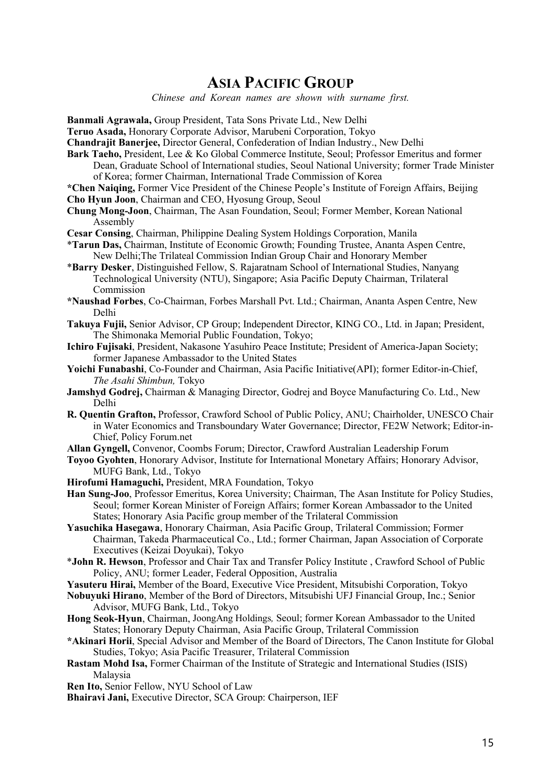### **ASIA PACIFIC GROUP**

*Chinese and Korean names are shown with surname first.*

**Banmali Agrawala,** Group President, Tata Sons Private Ltd., New Delhi

**Teruo Asada,** Honorary Corporate Advisor, Marubeni Corporation, Tokyo

**Chandrajit Banerjee,** Director General, Confederation of Indian Industry., New Delhi

- **Bark Taeho,** President, Lee & Ko Global Commerce Institute, Seoul; Professor Emeritus and former Dean, Graduate School of International studies, Seoul National University; former Trade Minister of Korea; former Chairman, International Trade Commission of Korea
- **\*Chen Naiqing,** Former Vice President of the Chinese People's Institute of Foreign Affairs, Beijing
- **Cho Hyun Joon**, Chairman and CEO, Hyosung Group, Seoul
- **Chung Mong-Joon**, Chairman, The Asan Foundation, Seoul; Former Member, Korean National Assembly
- **Cesar Consing**, Chairman, Philippine Dealing System Holdings Corporation, Manila
- \***Tarun Das,** Chairman, Institute of Economic Growth; Founding Trustee, Ananta Aspen Centre, New Delhi;The Trilateal Commission Indian Group Chair and Honorary Member
- \***Barry Desker**, Distinguished Fellow, S. Rajaratnam School of International Studies, Nanyang Technological University (NTU), Singapore; Asia Pacific Deputy Chairman, Trilateral Commission
- **\*Naushad Forbes**, Co-Chairman, Forbes Marshall Pvt. Ltd.; Chairman, Ananta Aspen Centre, New Delhi
- **Takuya Fujii,** Senior Advisor, CP Group; Independent Director, KING CO., Ltd. in Japan; President, The Shimonaka Memorial Public Foundation, Tokyo;
- **Ichiro Fujisaki**, President, Nakasone Yasuhiro Peace Institute; President of America-Japan Society; former Japanese Ambassador to the United States
- **Yoichi Funabashi**, Co-Founder and Chairman, Asia Pacific Initiative(API); former Editor-in-Chief, *The Asahi Shimbun,* Tokyo
- **Jamshyd Godrej,** Chairman & Managing Director, Godrej and Boyce Manufacturing Co. Ltd., New Delhi
- **R. Quentin Grafton,** Professor, Crawford School of Public Policy, ANU; Chairholder, UNESCO Chair in Water Economics and Transboundary Water Governance; Director, FE2W Network; Editor-in-Chief, Policy Forum.net
- **Allan Gyngell,** Convenor, Coombs Forum; Director, Crawford Australian Leadership Forum
- **Toyoo Gyohten**, Honorary Advisor, Institute for International Monetary Affairs; Honorary Advisor, MUFG Bank, Ltd., Tokyo
- **Hirofumi Hamaguchi,** President, MRA Foundation, Tokyo
- **Han Sung-Joo**, Professor Emeritus, Korea University; Chairman, The Asan Institute for Policy Studies, Seoul; former Korean Minister of Foreign Affairs; former Korean Ambassador to the United States; Honorary Asia Pacific group member of the Trilateral Commission
- **Yasuchika Hasegawa**, Honorary Chairman, Asia Pacific Group, Trilateral Commission; Former Chairman, Takeda Pharmaceutical Co., Ltd.; former Chairman, Japan Association of Corporate Executives (Keizai Doyukai), Tokyo
- \***John R. Hewson**, Professor and Chair Tax and Transfer Policy Institute , Crawford School of Public Policy, ANU; former Leader, Federal Opposition, Australia
- **Yasuteru Hirai,** Member of the Board, Executive Vice President, Mitsubishi Corporation, Tokyo
- **Nobuyuki Hirano**, Member of the Bord of Directors, Mitsubishi UFJ Financial Group, Inc.; Senior Advisor, MUFG Bank, Ltd., Tokyo
- **Hong Seok-Hyun**, Chairman, JoongAng Holdings*,* Seoul; former Korean Ambassador to the United States; Honorary Deputy Chairman, Asia Pacific Group, Trilateral Commission
- **\*Akinari Horii**, Special Advisor and Member of the Board of Directors, The Canon Institute for Global Studies, Tokyo; Asia Pacific Treasurer, Trilateral Commission
- **Rastam Mohd Isa,** Former Chairman of the Institute of Strategic and International Studies (ISIS) Malaysia
- **Ren Ito,** Senior Fellow, NYU School of Law
- **Bhairavi Jani,** Executive Director, SCA Group: Chairperson, IEF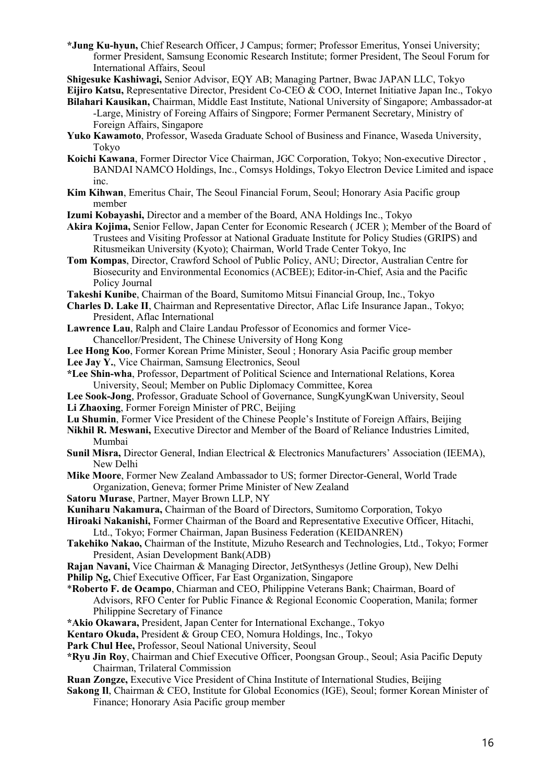- **\*Jung Ku-hyun,** Chief Research Officer, J Campus; former; Professor Emeritus, Yonsei University; former President, Samsung Economic Research Institute; former President, The Seoul Forum for International Affairs, Seoul
- **Shigesuke Kashiwagi,** Senior Advisor, EQY AB; Managing Partner, Bwac JAPAN LLC, Tokyo

**Eijiro Katsu,** Representative Director, President Co-CEO & COO, Internet Initiative Japan Inc., Tokyo

- **Bilahari Kausikan,** Chairman, Middle East Institute, National University of Singapore; Ambassador-at -Large, Ministry of Foreing Affairs of Singpore; Former Permanent Secretary, Ministry of Foreign Affairs, Singapore
- **Yuko Kawamoto**, Professor, Waseda Graduate School of Business and Finance, Waseda University, Tokyo
- **Koichi Kawana**, Former Director Vice Chairman, JGC Corporation, Tokyo; Non-executive Director , BANDAI NAMCO Holdings, Inc., Comsys Holdings, Tokyo Electron Device Limited and ispace inc.
- **Kim Kihwan**, Emeritus Chair, The Seoul Financial Forum, Seoul; Honorary Asia Pacific group member
- **Izumi Kobayashi,** Director and a member of the Board, ANA Holdings Inc., Tokyo
- **Akira Kojima,** Senior Fellow, Japan Center for Economic Research ( JCER ); Member of the Board of Trustees and Visiting Professor at National Graduate Institute for Policy Studies (GRIPS) and Ritusmeikan University (Kyoto); Chairman, World Trade Center Tokyo, Inc
- **Tom Kompas**, Director, Crawford School of Public Policy, ANU; Director, Australian Centre for Biosecurity and Environmental Economics (ACBEE); Editor-in-Chief, Asia and the Pacific Policy Journal
- **Takeshi Kunibe**, Chairman of the Board, Sumitomo Mitsui Financial Group, Inc., Tokyo
- **Charles D. Lake II**, Chairman and Representative Director, Aflac Life Insurance Japan., Tokyo; President, Aflac International
- **Lawrence Lau**, Ralph and Claire Landau Professor of Economics and former Vice-Chancellor/President, The Chinese University of Hong Kong

**Lee Hong Koo**, Former Korean Prime Minister, Seoul ; Honorary Asia Pacific group member

- Lee Jay Y., Vice Chairman, Samsung Electronics, Seoul
- **\*Lee Shin-wha**, Professor, Department of Political Science and International Relations, Korea University, Seoul; Member on Public Diplomacy Committee, Korea
- **Lee Sook-Jong**, Professor, Graduate School of Governance, SungKyungKwan University, Seoul **Li Zhaoxing**, Former Foreign Minister of PRC, Beijing
- **Lu Shumin**, Former Vice President of the Chinese People's Institute of Foreign Affairs, Beijing
- **Nikhil R. Meswani,** Executive Director and Member of the Board of Reliance Industries Limited, Mumbai
- **Sunil Misra,** Director General, Indian Electrical & Electronics Manufacturers' Association (IEEMA), New Delhi
- **Mike Moore**, Former New Zealand Ambassador to US; former Director-General, World Trade Organization, Geneva; former Prime Minister of New Zealand
- **Satoru Murase**, Partner, Mayer Brown LLP, NY

**Kuniharu Nakamura,** Chairman of the Board of Directors, Sumitomo Corporation, Tokyo

- **Hiroaki Nakanishi,** Former Chairman of the Board and Representative Executive Officer, Hitachi, Ltd., Tokyo; Former Chairman, Japan Business Federation (KEIDANREN)
- **Takehiko Nakao,** Chairman of the Institute, Mizuho Research and Technologies, Ltd., Tokyo; Former President, Asian Development Bank(ADB)
- **Rajan Navani,** Vice Chairman & Managing Director, JetSynthesys (Jetline Group), New Delhi
- **Philip Ng, Chief Executive Officer, Far East Organization, Singapore**
- \***Roberto F. de Ocampo**, Chiarman and CEO, Philippine Veterans Bank; Chairman, Board of Advisors, RFO Center for Public Finance & Regional Economic Cooperation, Manila; former Philippine Secretary of Finance
- **\*Akio Okawara,** President, Japan Center for International Exchange., Tokyo

**Kentaro Okuda,** President & Group CEO, Nomura Holdings, Inc., Tokyo

- **Park Chul Hee,** Professor, Seoul National University, Seoul
- **\*Ryu Jin Roy**, Chairman and Chief Executive Officer, Poongsan Group., Seoul; Asia Pacific Deputy Chairman, Trilateral Commission
- **Ruan Zongze,** Executive Vice President of China Institute of International Studies, Beijing
- **Sakong Il**, Chairman & CEO, Institute for Global Economics (IGE), Seoul; former Korean Minister of Finance; Honorary Asia Pacific group member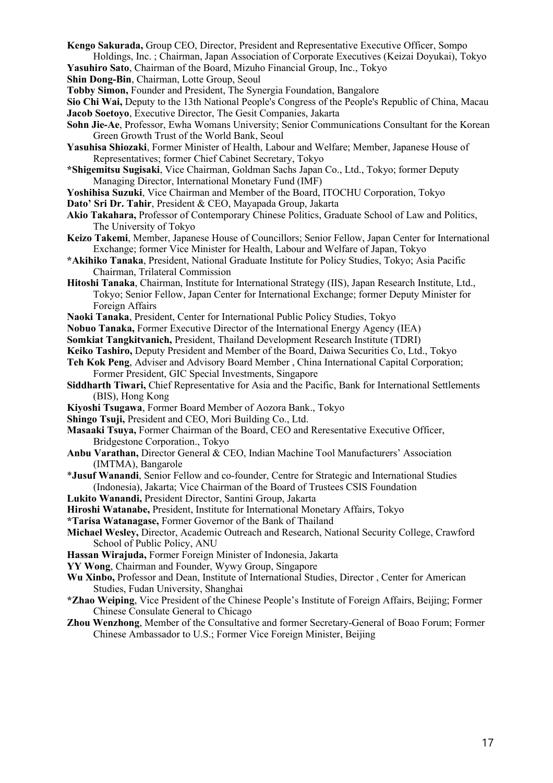**Kengo Sakurada,** Group CEO, Director, President and Representative Executive Officer, Sompo Holdings, Inc. ; Chairman, Japan Association of Corporate Executives (Keizai Doyukai), Tokyo

**Yasuhiro Sato**, Chairman of the Board, Mizuho Financial Group, Inc., Tokyo

**Shin Dong-Bin**, Chairman, Lotte Group, Seoul

**Tobby Simon,** Founder and President, The Synergia Foundation, Bangalore

- **Sio Chi Wai,** Deputy to the 13th National People's Congress of the People's Republic of China, Macau **Jacob Soetoyo**, Executive Director, The Gesit Companies, Jakarta
- **Sohn Jie-Ae**, Professor, Ewha Womans University; Senior Communications Consultant for the Korean Green Growth Trust of the World Bank, Seoul
- **Yasuhisa Shiozaki**, Former Minister of Health, Labour and Welfare; Member, Japanese House of Representatives; former Chief Cabinet Secretary, Tokyo
- **\*Shigemitsu Sugisaki**, Vice Chairman, Goldman Sachs Japan Co., Ltd., Tokyo; former Deputy Managing Director, International Monetary Fund (IMF)
- **Yoshihisa Suzuki**, Vice Chairman and Member of the Board, ITOCHU Corporation, Tokyo
- **Dato' Sri Dr. Tahir**, President & CEO, Mayapada Group, Jakarta
- **Akio Takahara,** Professor of Contemporary Chinese Politics, Graduate School of Law and Politics, The University of Tokyo
- **Keizo Takemi**, Member, Japanese House of Councillors; Senior Fellow, Japan Center for International Exchange; former Vice Minister for Health, Labour and Welfare of Japan, Tokyo
- **\*Akihiko Tanaka**, President, National Graduate Institute for Policy Studies, Tokyo; Asia Pacific Chairman, Trilateral Commission
- **Hitoshi Tanaka**, Chairman, Institute for International Strategy (IIS), Japan Research Institute, Ltd., Tokyo; Senior Fellow, Japan Center for International Exchange; former Deputy Minister for Foreign Affairs
- **Naoki Tanaka**, President, Center for International Public Policy Studies, Tokyo
- **Nobuo Tanaka,** Former Executive Director of the International Energy Agency (IEA)
- **Somkiat Tangkitvanich,** President, Thailand Development Research Institute (TDRI)
- **Keiko Tashiro,** Deputy President and Member of the Board, Daiwa Securities Co, Ltd., Tokyo
- **Teh Kok Peng**, Adviser and Advisory Board Member , China International Capital Corporation; Former President, GIC Special Investments, Singapore
- **Siddharth Tiwari,** Chief Representative for Asia and the Pacific, Bank for International Settlements (BIS), Hong Kong
- **Kiyoshi Tsugawa**, Former Board Member of Aozora Bank., Tokyo
- **Shingo Tsuji,** President and CEO, Mori Building Co., Ltd.
- **Masaaki Tsuya,** Former Chairman of the Board, CEO and Reresentative Executive Officer, Bridgestone Corporation., Tokyo
- **Anbu Varathan,** Director General & CEO, Indian Machine Tool Manufacturers' Association (IMTMA), Bangarole
- \***Jusuf Wanandi**, Senior Fellow and co-founder, Centre for Strategic and International Studies (Indonesia), Jakarta; Vice Chairman of the Board of Trustees CSIS Foundation
- **Lukito Wanandi,** President Director, Santini Group, Jakarta
- **Hiroshi Watanabe,** President, Institute for International Monetary Affairs, Tokyo
- **\*Tarisa Watanagase,** Former Governor of the Bank of Thailand
- **Michael Wesley,** Director, Academic Outreach and Research, National Security College, Crawford School of Public Policy, ANU
- **Hassan Wirajuda,** Former Foreign Minister of Indonesia, Jakarta
- **YY Wong**, Chairman and Founder, Wywy Group, Singapore
- **Wu Xinbo,** Professor and Dean, Institute of International Studies, Director , Center for American Studies, Fudan University, Shanghai
- **\*Zhao Weiping**, Vice President of the Chinese People's Institute of Foreign Affairs, Beijing; Former Chinese Consulate General to Chicago
- **Zhou Wenzhong**, Member of the Consultative and former Secretary-General of Boao Forum; Former Chinese Ambassador to U.S.; Former Vice Foreign Minister, Beijing